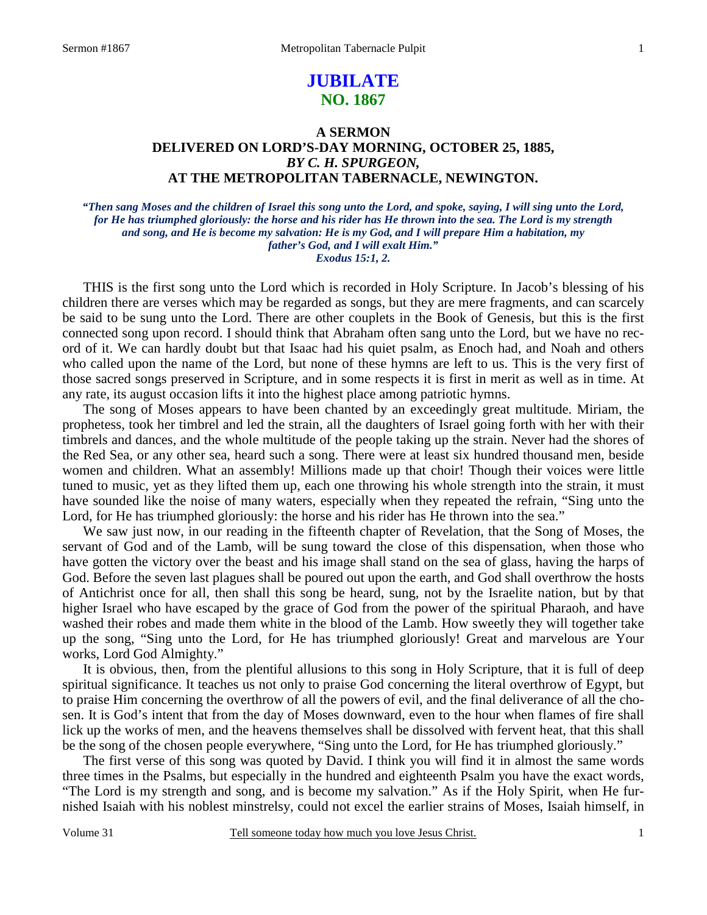# **JUBILATE NO. 1867**

## **A SERMON DELIVERED ON LORD'S-DAY MORNING, OCTOBER 25, 1885,**  *BY C. H. SPURGEON,*  **AT THE METROPOLITAN TABERNACLE, NEWINGTON.**

*"Then sang Moses and the children of Israel this song unto the Lord, and spoke, saying, I will sing unto the Lord, for He has triumphed gloriously: the horse and his rider has He thrown into the sea. The Lord is my strength and song, and He is become my salvation: He is my God, and I will prepare Him a habitation, my father's God, and I will exalt Him." Exodus 15:1, 2.* 

THIS is the first song unto the Lord which is recorded in Holy Scripture. In Jacob's blessing of his children there are verses which may be regarded as songs, but they are mere fragments, and can scarcely be said to be sung unto the Lord. There are other couplets in the Book of Genesis, but this is the first connected song upon record. I should think that Abraham often sang unto the Lord, but we have no record of it. We can hardly doubt but that Isaac had his quiet psalm, as Enoch had, and Noah and others who called upon the name of the Lord, but none of these hymns are left to us. This is the very first of those sacred songs preserved in Scripture, and in some respects it is first in merit as well as in time. At any rate, its august occasion lifts it into the highest place among patriotic hymns.

 The song of Moses appears to have been chanted by an exceedingly great multitude. Miriam, the prophetess, took her timbrel and led the strain, all the daughters of Israel going forth with her with their timbrels and dances, and the whole multitude of the people taking up the strain. Never had the shores of the Red Sea, or any other sea, heard such a song. There were at least six hundred thousand men, beside women and children. What an assembly! Millions made up that choir! Though their voices were little tuned to music, yet as they lifted them up, each one throwing his whole strength into the strain, it must have sounded like the noise of many waters, especially when they repeated the refrain, "Sing unto the Lord, for He has triumphed gloriously: the horse and his rider has He thrown into the sea."

 We saw just now, in our reading in the fifteenth chapter of Revelation, that the Song of Moses, the servant of God and of the Lamb, will be sung toward the close of this dispensation, when those who have gotten the victory over the beast and his image shall stand on the sea of glass, having the harps of God. Before the seven last plagues shall be poured out upon the earth, and God shall overthrow the hosts of Antichrist once for all, then shall this song be heard, sung, not by the Israelite nation, but by that higher Israel who have escaped by the grace of God from the power of the spiritual Pharaoh, and have washed their robes and made them white in the blood of the Lamb. How sweetly they will together take up the song, "Sing unto the Lord, for He has triumphed gloriously! Great and marvelous are Your works, Lord God Almighty."

 It is obvious, then, from the plentiful allusions to this song in Holy Scripture, that it is full of deep spiritual significance. It teaches us not only to praise God concerning the literal overthrow of Egypt, but to praise Him concerning the overthrow of all the powers of evil, and the final deliverance of all the chosen. It is God's intent that from the day of Moses downward, even to the hour when flames of fire shall lick up the works of men, and the heavens themselves shall be dissolved with fervent heat, that this shall be the song of the chosen people everywhere, "Sing unto the Lord, for He has triumphed gloriously."

 The first verse of this song was quoted by David. I think you will find it in almost the same words three times in the Psalms, but especially in the hundred and eighteenth Psalm you have the exact words, "The Lord is my strength and song, and is become my salvation." As if the Holy Spirit, when He furnished Isaiah with his noblest minstrelsy, could not excel the earlier strains of Moses, Isaiah himself, in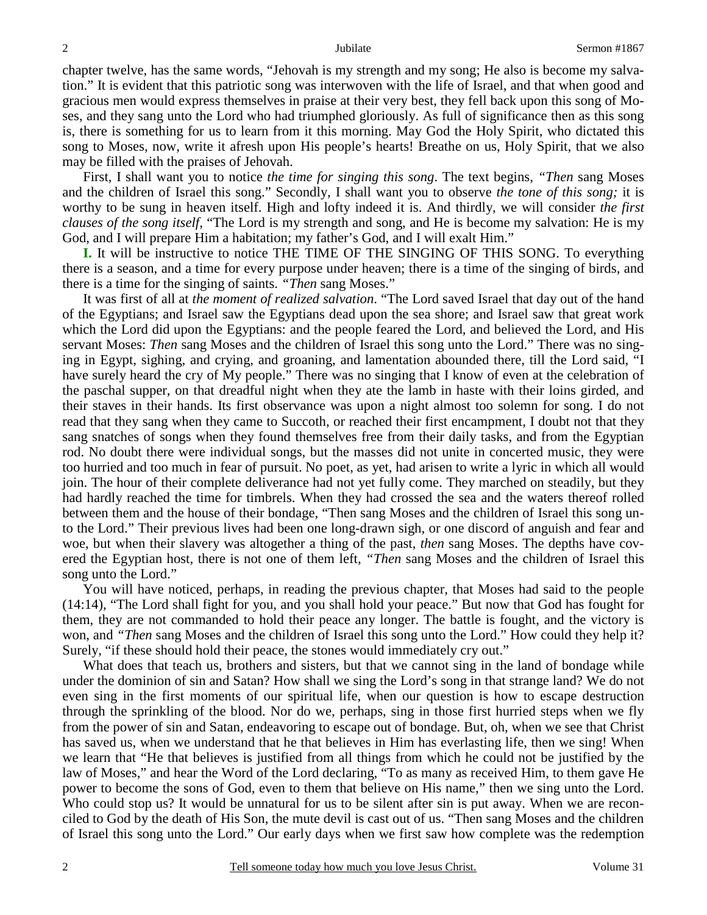chapter twelve, has the same words, "Jehovah is my strength and my song; He also is become my salvation." It is evident that this patriotic song was interwoven with the life of Israel, and that when good and gracious men would express themselves in praise at their very best, they fell back upon this song of Moses, and they sang unto the Lord who had triumphed gloriously. As full of significance then as this song is, there is something for us to learn from it this morning. May God the Holy Spirit, who dictated this song to Moses, now, write it afresh upon His people's hearts! Breathe on us, Holy Spirit, that we also may be filled with the praises of Jehovah.

 First, I shall want you to notice *the time for singing this song*. The text begins, *"Then* sang Moses and the children of Israel this song." Secondly, I shall want you to observe *the tone of this song;* it is worthy to be sung in heaven itself. High and lofty indeed it is. And thirdly, we will consider *the first clauses of the song itself,* "The Lord is my strength and song, and He is become my salvation: He is my God, and I will prepare Him a habitation; my father's God, and I will exalt Him."

**I.** It will be instructive to notice THE TIME OF THE SINGING OF THIS SONG. To everything there is a season, and a time for every purpose under heaven; there is a time of the singing of birds, and there is a time for the singing of saints. *"Then* sang Moses."

 It was first of all at *the moment of realized salvation*. "The Lord saved Israel that day out of the hand of the Egyptians; and Israel saw the Egyptians dead upon the sea shore; and Israel saw that great work which the Lord did upon the Egyptians: and the people feared the Lord, and believed the Lord, and His servant Moses: *Then* sang Moses and the children of Israel this song unto the Lord." There was no singing in Egypt, sighing, and crying, and groaning, and lamentation abounded there, till the Lord said, "I have surely heard the cry of My people." There was no singing that I know of even at the celebration of the paschal supper, on that dreadful night when they ate the lamb in haste with their loins girded, and their staves in their hands. Its first observance was upon a night almost too solemn for song. I do not read that they sang when they came to Succoth, or reached their first encampment, I doubt not that they sang snatches of songs when they found themselves free from their daily tasks, and from the Egyptian rod. No doubt there were individual songs, but the masses did not unite in concerted music, they were too hurried and too much in fear of pursuit. No poet, as yet, had arisen to write a lyric in which all would join. The hour of their complete deliverance had not yet fully come. They marched on steadily, but they had hardly reached the time for timbrels. When they had crossed the sea and the waters thereof rolled between them and the house of their bondage, "Then sang Moses and the children of Israel this song unto the Lord." Their previous lives had been one long-drawn sigh, or one discord of anguish and fear and woe, but when their slavery was altogether a thing of the past, *then* sang Moses. The depths have covered the Egyptian host, there is not one of them left, *"Then* sang Moses and the children of Israel this song unto the Lord."

 You will have noticed, perhaps, in reading the previous chapter, that Moses had said to the people (14:14), "The Lord shall fight for you, and you shall hold your peace." But now that God has fought for them, they are not commanded to hold their peace any longer. The battle is fought, and the victory is won, and *"Then* sang Moses and the children of Israel this song unto the Lord." How could they help it? Surely, "if these should hold their peace, the stones would immediately cry out."

What does that teach us, brothers and sisters, but that we cannot sing in the land of bondage while under the dominion of sin and Satan? How shall we sing the Lord's song in that strange land? We do not even sing in the first moments of our spiritual life, when our question is how to escape destruction through the sprinkling of the blood. Nor do we, perhaps, sing in those first hurried steps when we fly from the power of sin and Satan, endeavoring to escape out of bondage. But, oh, when we see that Christ has saved us, when we understand that he that believes in Him has everlasting life, then we sing! When we learn that "He that believes is justified from all things from which he could not be justified by the law of Moses," and hear the Word of the Lord declaring, "To as many as received Him, to them gave He power to become the sons of God, even to them that believe on His name," then we sing unto the Lord. Who could stop us? It would be unnatural for us to be silent after sin is put away. When we are reconciled to God by the death of His Son, the mute devil is cast out of us. "Then sang Moses and the children of Israel this song unto the Lord." Our early days when we first saw how complete was the redemption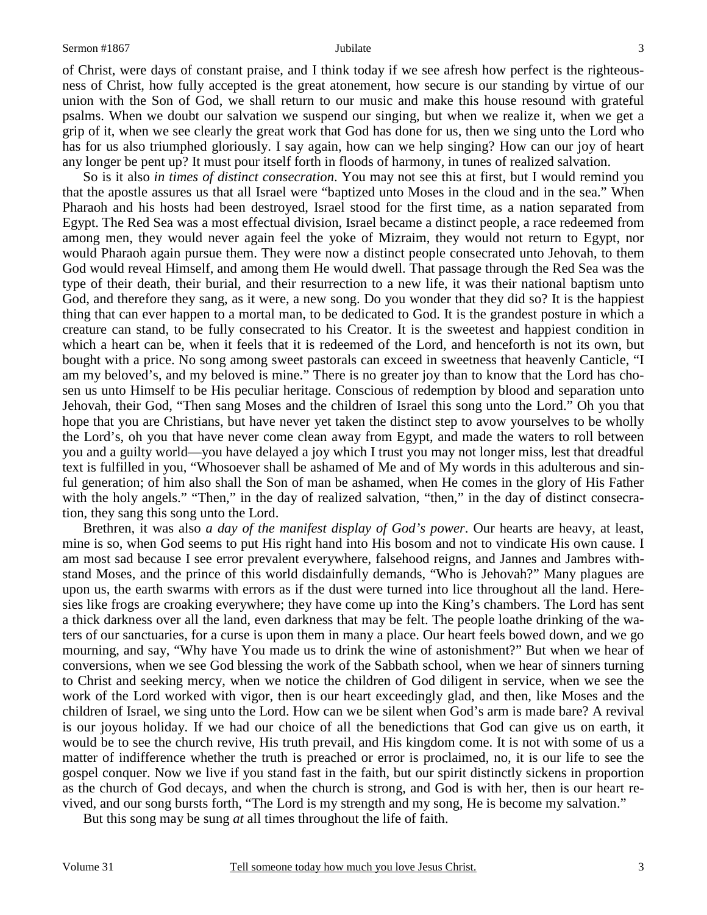of Christ, were days of constant praise, and I think today if we see afresh how perfect is the righteousness of Christ, how fully accepted is the great atonement, how secure is our standing by virtue of our union with the Son of God, we shall return to our music and make this house resound with grateful psalms. When we doubt our salvation we suspend our singing, but when we realize it, when we get a grip of it, when we see clearly the great work that God has done for us, then we sing unto the Lord who has for us also triumphed gloriously. I say again, how can we help singing? How can our joy of heart any longer be pent up? It must pour itself forth in floods of harmony, in tunes of realized salvation.

 So is it also *in times of distinct consecration*. You may not see this at first, but I would remind you that the apostle assures us that all Israel were "baptized unto Moses in the cloud and in the sea." When Pharaoh and his hosts had been destroyed, Israel stood for the first time, as a nation separated from Egypt. The Red Sea was a most effectual division, Israel became a distinct people, a race redeemed from among men, they would never again feel the yoke of Mizraim, they would not return to Egypt, nor would Pharaoh again pursue them. They were now a distinct people consecrated unto Jehovah, to them God would reveal Himself, and among them He would dwell. That passage through the Red Sea was the type of their death, their burial, and their resurrection to a new life, it was their national baptism unto God, and therefore they sang, as it were, a new song. Do you wonder that they did so? It is the happiest thing that can ever happen to a mortal man, to be dedicated to God. It is the grandest posture in which a creature can stand, to be fully consecrated to his Creator. It is the sweetest and happiest condition in which a heart can be, when it feels that it is redeemed of the Lord, and henceforth is not its own, but bought with a price. No song among sweet pastorals can exceed in sweetness that heavenly Canticle, "I am my beloved's, and my beloved is mine." There is no greater joy than to know that the Lord has chosen us unto Himself to be His peculiar heritage. Conscious of redemption by blood and separation unto Jehovah, their God, "Then sang Moses and the children of Israel this song unto the Lord." Oh you that hope that you are Christians, but have never yet taken the distinct step to avow yourselves to be wholly the Lord's, oh you that have never come clean away from Egypt, and made the waters to roll between you and a guilty world—you have delayed a joy which I trust you may not longer miss, lest that dreadful text is fulfilled in you, "Whosoever shall be ashamed of Me and of My words in this adulterous and sinful generation; of him also shall the Son of man be ashamed, when He comes in the glory of His Father with the holy angels." "Then," in the day of realized salvation, "then," in the day of distinct consecration, they sang this song unto the Lord.

 Brethren, it was also *a day of the manifest display of God's power*. Our hearts are heavy, at least, mine is so, when God seems to put His right hand into His bosom and not to vindicate His own cause. I am most sad because I see error prevalent everywhere, falsehood reigns, and Jannes and Jambres withstand Moses, and the prince of this world disdainfully demands, "Who is Jehovah?" Many plagues are upon us, the earth swarms with errors as if the dust were turned into lice throughout all the land. Heresies like frogs are croaking everywhere; they have come up into the King's chambers. The Lord has sent a thick darkness over all the land, even darkness that may be felt. The people loathe drinking of the waters of our sanctuaries, for a curse is upon them in many a place. Our heart feels bowed down, and we go mourning, and say, "Why have You made us to drink the wine of astonishment?" But when we hear of conversions, when we see God blessing the work of the Sabbath school, when we hear of sinners turning to Christ and seeking mercy, when we notice the children of God diligent in service, when we see the work of the Lord worked with vigor, then is our heart exceedingly glad, and then, like Moses and the children of Israel, we sing unto the Lord. How can we be silent when God's arm is made bare? A revival is our joyous holiday. If we had our choice of all the benedictions that God can give us on earth, it would be to see the church revive, His truth prevail, and His kingdom come. It is not with some of us a matter of indifference whether the truth is preached or error is proclaimed, no, it is our life to see the gospel conquer. Now we live if you stand fast in the faith, but our spirit distinctly sickens in proportion as the church of God decays, and when the church is strong, and God is with her, then is our heart revived, and our song bursts forth, "The Lord is my strength and my song, He is become my salvation."

But this song may be sung *at* all times throughout the life of faith.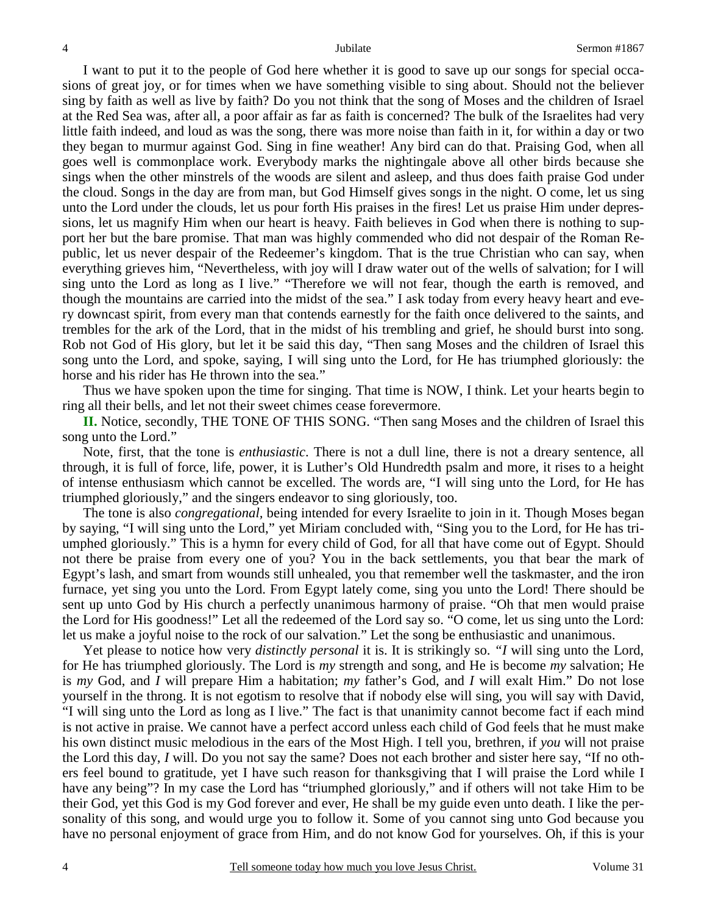I want to put it to the people of God here whether it is good to save up our songs for special occasions of great joy, or for times when we have something visible to sing about. Should not the believer sing by faith as well as live by faith? Do you not think that the song of Moses and the children of Israel at the Red Sea was, after all, a poor affair as far as faith is concerned? The bulk of the Israelites had very little faith indeed, and loud as was the song, there was more noise than faith in it, for within a day or two they began to murmur against God. Sing in fine weather! Any bird can do that. Praising God, when all goes well is commonplace work. Everybody marks the nightingale above all other birds because she sings when the other minstrels of the woods are silent and asleep, and thus does faith praise God under the cloud. Songs in the day are from man, but God Himself gives songs in the night. O come, let us sing unto the Lord under the clouds, let us pour forth His praises in the fires! Let us praise Him under depressions, let us magnify Him when our heart is heavy. Faith believes in God when there is nothing to support her but the bare promise. That man was highly commended who did not despair of the Roman Republic, let us never despair of the Redeemer's kingdom. That is the true Christian who can say, when everything grieves him, "Nevertheless, with joy will I draw water out of the wells of salvation; for I will sing unto the Lord as long as I live." "Therefore we will not fear, though the earth is removed, and though the mountains are carried into the midst of the sea." I ask today from every heavy heart and every downcast spirit, from every man that contends earnestly for the faith once delivered to the saints, and trembles for the ark of the Lord, that in the midst of his trembling and grief, he should burst into song. Rob not God of His glory, but let it be said this day, "Then sang Moses and the children of Israel this song unto the Lord, and spoke, saying, I will sing unto the Lord, for He has triumphed gloriously: the horse and his rider has He thrown into the sea."

 Thus we have spoken upon the time for singing. That time is NOW, I think. Let your hearts begin to ring all their bells, and let not their sweet chimes cease forevermore.

**II.** Notice, secondly, THE TONE OF THIS SONG. "Then sang Moses and the children of Israel this song unto the Lord."

 Note, first, that the tone is *enthusiastic*. There is not a dull line, there is not a dreary sentence, all through, it is full of force, life, power, it is Luther's Old Hundredth psalm and more, it rises to a height of intense enthusiasm which cannot be excelled. The words are, "I will sing unto the Lord, for He has triumphed gloriously," and the singers endeavor to sing gloriously, too.

 The tone is also *congregational,* being intended for every Israelite to join in it. Though Moses began by saying, "I will sing unto the Lord," yet Miriam concluded with, "Sing you to the Lord, for He has triumphed gloriously." This is a hymn for every child of God, for all that have come out of Egypt. Should not there be praise from every one of you? You in the back settlements, you that bear the mark of Egypt's lash, and smart from wounds still unhealed, you that remember well the taskmaster, and the iron furnace, yet sing you unto the Lord. From Egypt lately come, sing you unto the Lord! There should be sent up unto God by His church a perfectly unanimous harmony of praise. "Oh that men would praise the Lord for His goodness!" Let all the redeemed of the Lord say so. "O come, let us sing unto the Lord: let us make a joyful noise to the rock of our salvation." Let the song be enthusiastic and unanimous.

 Yet please to notice how very *distinctly personal* it is. It is strikingly so. *"I* will sing unto the Lord, for He has triumphed gloriously. The Lord is *my* strength and song, and He is become *my* salvation; He is *my* God, and *I* will prepare Him a habitation; *my* father's God, and *I* will exalt Him." Do not lose yourself in the throng. It is not egotism to resolve that if nobody else will sing, you will say with David, "I will sing unto the Lord as long as I live." The fact is that unanimity cannot become fact if each mind is not active in praise. We cannot have a perfect accord unless each child of God feels that he must make his own distinct music melodious in the ears of the Most High. I tell you, brethren, if *you* will not praise the Lord this day, *I* will. Do you not say the same? Does not each brother and sister here say, "If no others feel bound to gratitude, yet I have such reason for thanksgiving that I will praise the Lord while I have any being"? In my case the Lord has "triumphed gloriously," and if others will not take Him to be their God, yet this God is my God forever and ever, He shall be my guide even unto death. I like the personality of this song, and would urge you to follow it. Some of you cannot sing unto God because you have no personal enjoyment of grace from Him, and do not know God for yourselves. Oh, if this is your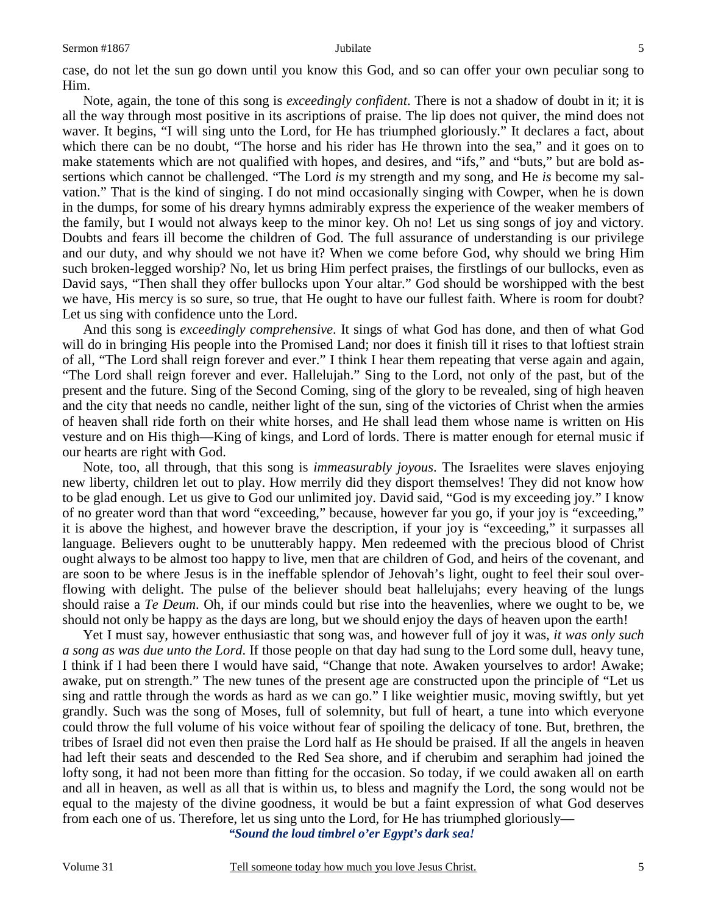case, do not let the sun go down until you know this God, and so can offer your own peculiar song to Him.

 Note, again, the tone of this song is *exceedingly confident*. There is not a shadow of doubt in it; it is all the way through most positive in its ascriptions of praise. The lip does not quiver, the mind does not waver. It begins, "I will sing unto the Lord, for He has triumphed gloriously." It declares a fact, about which there can be no doubt, "The horse and his rider has He thrown into the sea," and it goes on to make statements which are not qualified with hopes, and desires, and "ifs," and "buts," but are bold assertions which cannot be challenged. "The Lord *is* my strength and my song, and He *is* become my salvation." That is the kind of singing. I do not mind occasionally singing with Cowper, when he is down in the dumps, for some of his dreary hymns admirably express the experience of the weaker members of the family, but I would not always keep to the minor key. Oh no! Let us sing songs of joy and victory. Doubts and fears ill become the children of God. The full assurance of understanding is our privilege and our duty, and why should we not have it? When we come before God, why should we bring Him such broken-legged worship? No, let us bring Him perfect praises, the firstlings of our bullocks, even as David says, "Then shall they offer bullocks upon Your altar." God should be worshipped with the best we have, His mercy is so sure, so true, that He ought to have our fullest faith. Where is room for doubt? Let us sing with confidence unto the Lord.

 And this song is *exceedingly comprehensive*. It sings of what God has done, and then of what God will do in bringing His people into the Promised Land; nor does it finish till it rises to that loftiest strain of all, "The Lord shall reign forever and ever." I think I hear them repeating that verse again and again, "The Lord shall reign forever and ever. Hallelujah." Sing to the Lord, not only of the past, but of the present and the future. Sing of the Second Coming, sing of the glory to be revealed, sing of high heaven and the city that needs no candle, neither light of the sun, sing of the victories of Christ when the armies of heaven shall ride forth on their white horses, and He shall lead them whose name is written on His vesture and on His thigh—King of kings, and Lord of lords. There is matter enough for eternal music if our hearts are right with God.

 Note, too, all through, that this song is *immeasurably joyous*. The Israelites were slaves enjoying new liberty, children let out to play. How merrily did they disport themselves! They did not know how to be glad enough. Let us give to God our unlimited joy. David said, "God is my exceeding joy." I know of no greater word than that word "exceeding," because, however far you go, if your joy is "exceeding," it is above the highest, and however brave the description, if your joy is "exceeding," it surpasses all language. Believers ought to be unutterably happy. Men redeemed with the precious blood of Christ ought always to be almost too happy to live, men that are children of God, and heirs of the covenant, and are soon to be where Jesus is in the ineffable splendor of Jehovah's light, ought to feel their soul overflowing with delight. The pulse of the believer should beat hallelujahs; every heaving of the lungs should raise a *Te Deum*. Oh, if our minds could but rise into the heavenlies, where we ought to be, we should not only be happy as the days are long, but we should enjoy the days of heaven upon the earth!

 Yet I must say, however enthusiastic that song was, and however full of joy it was, *it was only such a song as was due unto the Lord*. If those people on that day had sung to the Lord some dull, heavy tune, I think if I had been there I would have said, "Change that note. Awaken yourselves to ardor! Awake; awake, put on strength." The new tunes of the present age are constructed upon the principle of "Let us sing and rattle through the words as hard as we can go." I like weightier music, moving swiftly, but yet grandly. Such was the song of Moses, full of solemnity, but full of heart, a tune into which everyone could throw the full volume of his voice without fear of spoiling the delicacy of tone. But, brethren, the tribes of Israel did not even then praise the Lord half as He should be praised. If all the angels in heaven had left their seats and descended to the Red Sea shore, and if cherubim and seraphim had joined the lofty song, it had not been more than fitting for the occasion. So today, if we could awaken all on earth and all in heaven, as well as all that is within us, to bless and magnify the Lord, the song would not be equal to the majesty of the divine goodness, it would be but a faint expression of what God deserves from each one of us. Therefore, let us sing unto the Lord, for He has triumphed gloriously—

*"Sound the loud timbrel o'er Egypt's dark sea!*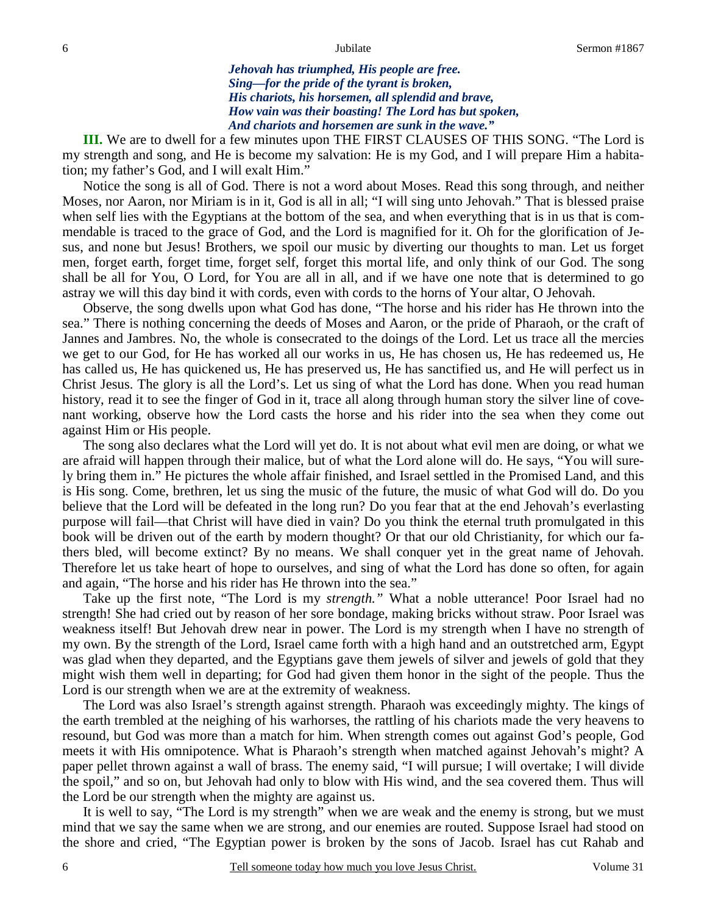*Jehovah has triumphed, His people are free. Sing—for the pride of the tyrant is broken, His chariots, his horsemen, all splendid and brave, How vain was their boasting! The Lord has but spoken, And chariots and horsemen are sunk in the wave."* 

 **III.** We are to dwell for a few minutes upon THE FIRST CLAUSES OF THIS SONG. "The Lord is my strength and song, and He is become my salvation: He is my God, and I will prepare Him a habitation; my father's God, and I will exalt Him."

 Notice the song is all of God. There is not a word about Moses. Read this song through, and neither Moses, nor Aaron, nor Miriam is in it, God is all in all; "I will sing unto Jehovah." That is blessed praise when self lies with the Egyptians at the bottom of the sea, and when everything that is in us that is commendable is traced to the grace of God, and the Lord is magnified for it. Oh for the glorification of Jesus, and none but Jesus! Brothers, we spoil our music by diverting our thoughts to man. Let us forget men, forget earth, forget time, forget self, forget this mortal life, and only think of our God. The song shall be all for You, O Lord, for You are all in all, and if we have one note that is determined to go astray we will this day bind it with cords, even with cords to the horns of Your altar, O Jehovah.

 Observe, the song dwells upon what God has done, "The horse and his rider has He thrown into the sea." There is nothing concerning the deeds of Moses and Aaron, or the pride of Pharaoh, or the craft of Jannes and Jambres. No, the whole is consecrated to the doings of the Lord. Let us trace all the mercies we get to our God, for He has worked all our works in us, He has chosen us, He has redeemed us, He has called us, He has quickened us, He has preserved us, He has sanctified us, and He will perfect us in Christ Jesus. The glory is all the Lord's. Let us sing of what the Lord has done. When you read human history, read it to see the finger of God in it, trace all along through human story the silver line of covenant working, observe how the Lord casts the horse and his rider into the sea when they come out against Him or His people.

 The song also declares what the Lord will yet do. It is not about what evil men are doing, or what we are afraid will happen through their malice, but of what the Lord alone will do. He says, "You will surely bring them in." He pictures the whole affair finished, and Israel settled in the Promised Land, and this is His song. Come, brethren, let us sing the music of the future, the music of what God will do. Do you believe that the Lord will be defeated in the long run? Do you fear that at the end Jehovah's everlasting purpose will fail—that Christ will have died in vain? Do you think the eternal truth promulgated in this book will be driven out of the earth by modern thought? Or that our old Christianity, for which our fathers bled, will become extinct? By no means. We shall conquer yet in the great name of Jehovah. Therefore let us take heart of hope to ourselves, and sing of what the Lord has done so often, for again and again, "The horse and his rider has He thrown into the sea."

 Take up the first note, "The Lord is my *strength."* What a noble utterance! Poor Israel had no strength! She had cried out by reason of her sore bondage, making bricks without straw. Poor Israel was weakness itself! But Jehovah drew near in power. The Lord is my strength when I have no strength of my own. By the strength of the Lord, Israel came forth with a high hand and an outstretched arm, Egypt was glad when they departed, and the Egyptians gave them jewels of silver and jewels of gold that they might wish them well in departing; for God had given them honor in the sight of the people. Thus the Lord is our strength when we are at the extremity of weakness.

 The Lord was also Israel's strength against strength. Pharaoh was exceedingly mighty. The kings of the earth trembled at the neighing of his warhorses, the rattling of his chariots made the very heavens to resound, but God was more than a match for him. When strength comes out against God's people, God meets it with His omnipotence. What is Pharaoh's strength when matched against Jehovah's might? A paper pellet thrown against a wall of brass. The enemy said, "I will pursue; I will overtake; I will divide the spoil," and so on, but Jehovah had only to blow with His wind, and the sea covered them. Thus will the Lord be our strength when the mighty are against us.

 It is well to say, "The Lord is my strength" when we are weak and the enemy is strong, but we must mind that we say the same when we are strong, and our enemies are routed. Suppose Israel had stood on the shore and cried, "The Egyptian power is broken by the sons of Jacob. Israel has cut Rahab and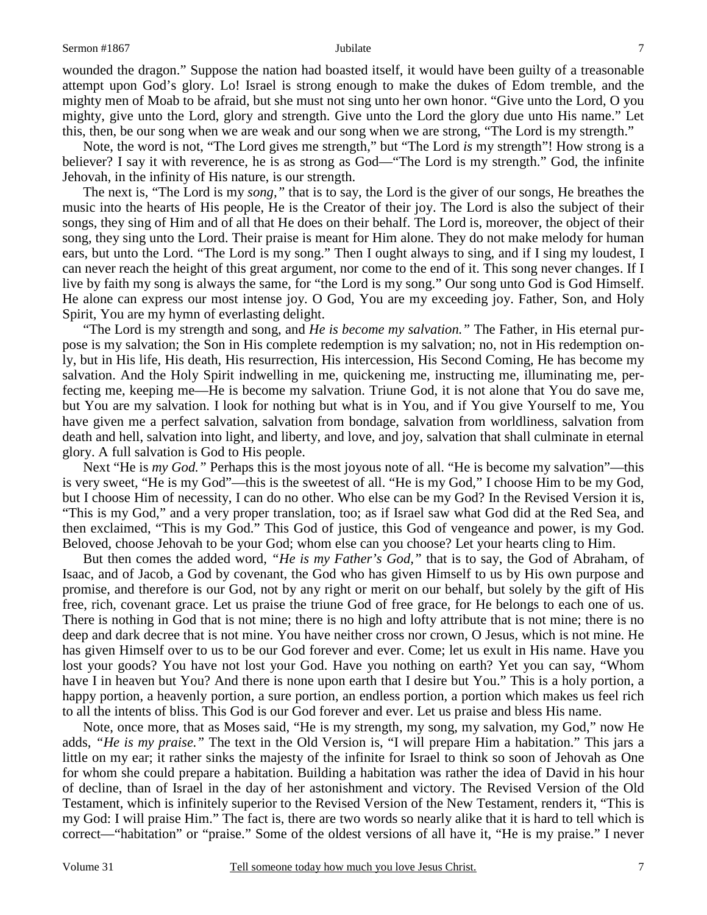## Sermon #1867 **Jubilate** 7

wounded the dragon." Suppose the nation had boasted itself, it would have been guilty of a treasonable attempt upon God's glory. Lo! Israel is strong enough to make the dukes of Edom tremble, and the mighty men of Moab to be afraid, but she must not sing unto her own honor. "Give unto the Lord, O you mighty, give unto the Lord, glory and strength. Give unto the Lord the glory due unto His name." Let this, then, be our song when we are weak and our song when we are strong, "The Lord is my strength."

 Note, the word is not, "The Lord gives me strength," but "The Lord *is* my strength"! How strong is a believer? I say it with reverence, he is as strong as God—"The Lord is my strength." God, the infinite Jehovah, in the infinity of His nature, is our strength.

 The next is, "The Lord is my *song,"* that is to say, the Lord is the giver of our songs, He breathes the music into the hearts of His people, He is the Creator of their joy. The Lord is also the subject of their songs, they sing of Him and of all that He does on their behalf. The Lord is, moreover, the object of their song, they sing unto the Lord. Their praise is meant for Him alone. They do not make melody for human ears, but unto the Lord. "The Lord is my song." Then I ought always to sing, and if I sing my loudest, I can never reach the height of this great argument, nor come to the end of it. This song never changes. If I live by faith my song is always the same, for "the Lord is my song." Our song unto God is God Himself. He alone can express our most intense joy. O God, You are my exceeding joy. Father, Son, and Holy Spirit, You are my hymn of everlasting delight.

 "The Lord is my strength and song, and *He is become my salvation."* The Father, in His eternal purpose is my salvation; the Son in His complete redemption is my salvation; no, not in His redemption only, but in His life, His death, His resurrection, His intercession, His Second Coming, He has become my salvation. And the Holy Spirit indwelling in me, quickening me, instructing me, illuminating me, perfecting me, keeping me—He is become my salvation. Triune God, it is not alone that You do save me, but You are my salvation. I look for nothing but what is in You, and if You give Yourself to me, You have given me a perfect salvation, salvation from bondage, salvation from worldliness, salvation from death and hell, salvation into light, and liberty, and love, and joy, salvation that shall culminate in eternal glory. A full salvation is God to His people.

Next "He is *my God.*" Perhaps this is the most joyous note of all. "He is become my salvation"—this is very sweet, "He is my God"—this is the sweetest of all. "He is my God," I choose Him to be my God, but I choose Him of necessity, I can do no other. Who else can be my God? In the Revised Version it is, "This is my God," and a very proper translation, too; as if Israel saw what God did at the Red Sea, and then exclaimed, "This is my God." This God of justice, this God of vengeance and power, is my God. Beloved, choose Jehovah to be your God; whom else can you choose? Let your hearts cling to Him.

 But then comes the added word, *"He is my Father's God,"* that is to say, the God of Abraham, of Isaac, and of Jacob, a God by covenant, the God who has given Himself to us by His own purpose and promise, and therefore is our God, not by any right or merit on our behalf, but solely by the gift of His free, rich, covenant grace. Let us praise the triune God of free grace, for He belongs to each one of us. There is nothing in God that is not mine; there is no high and lofty attribute that is not mine; there is no deep and dark decree that is not mine. You have neither cross nor crown, O Jesus, which is not mine. He has given Himself over to us to be our God forever and ever. Come; let us exult in His name. Have you lost your goods? You have not lost your God. Have you nothing on earth? Yet you can say, "Whom have I in heaven but You? And there is none upon earth that I desire but You." This is a holy portion, a happy portion, a heavenly portion, a sure portion, an endless portion, a portion which makes us feel rich to all the intents of bliss. This God is our God forever and ever. Let us praise and bless His name.

 Note, once more, that as Moses said, "He is my strength, my song, my salvation, my God," now He adds, *"He is my praise."* The text in the Old Version is, "I will prepare Him a habitation." This jars a little on my ear; it rather sinks the majesty of the infinite for Israel to think so soon of Jehovah as One for whom she could prepare a habitation. Building a habitation was rather the idea of David in his hour of decline, than of Israel in the day of her astonishment and victory. The Revised Version of the Old Testament, which is infinitely superior to the Revised Version of the New Testament, renders it, "This is my God: I will praise Him." The fact is, there are two words so nearly alike that it is hard to tell which is correct—"habitation" or "praise." Some of the oldest versions of all have it, "He is my praise." I never